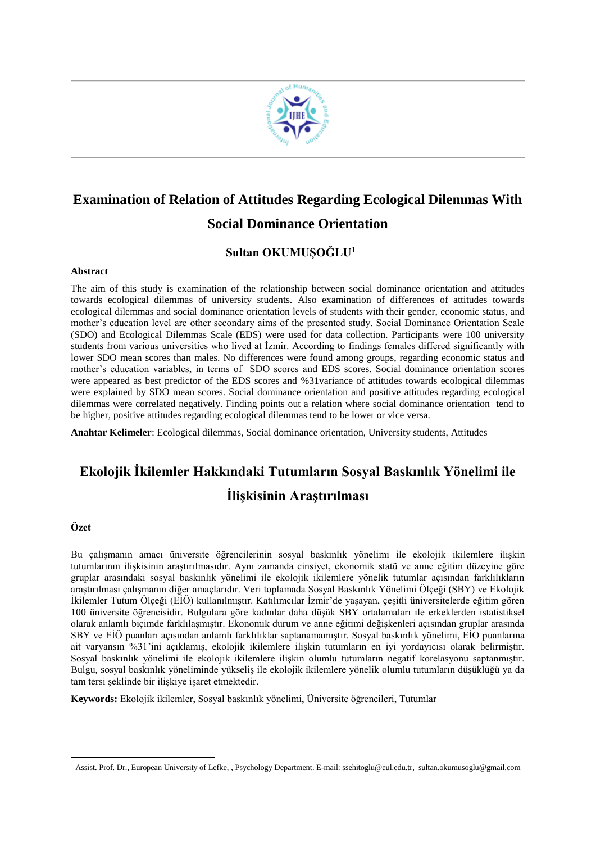

# **Examination of Relation of Attitudes Regarding Ecological Dilemmas With Social Dominance Orientation**

# **Sultan OKUMUŞOĞLU<sup>1</sup>**

#### **Abstract**

The aim of this study is examination of the relationship between social dominance orientation and attitudes towards ecological dilemmas of university students. Also examination of differences of attitudes towards ecological dilemmas and social dominance orientation levels of students with their gender, economic status, and mother's education level are other secondary aims of the presented study. Social Dominance Orientation Scale (SDO) and Ecological Dilemmas Scale (EDS) were used for data collection. Participants were 100 university students from various universities who lived at İzmir. According to findings females differed significantly with lower SDO mean scores than males. No differences were found among groups, regarding economic status and mother's education variables, in terms of SDO scores and EDS scores. Social dominance orientation scores were appeared as best predictor of the EDS scores and %31variance of attitudes towards ecological dilemmas were explained by SDO mean scores. Social dominance orientation and positive attitudes regarding ecological dilemmas were correlated negatively. Finding points out a relation where social dominance orientation tend to be higher, positive attitudes regarding ecological dilemmas tend to be lower or vice versa.

**Anahtar Kelimeler**: Ecological dilemmas, Social dominance orientation, University students, Attitudes

# **Ekolojik İkilemler Hakkındaki Tutumların Sosyal Baskınlık Yönelimi ile İlişkisinin Araştırılması**

#### **Özet**

Bu çalışmanın amacı üniversite öğrencilerinin sosyal baskınlık yönelimi ile ekolojik ikilemlere ilişkin tutumlarının ilişkisinin araştırılmasıdır. Aynı zamanda cinsiyet, ekonomik statü ve anne eğitim düzeyine göre gruplar arasındaki sosyal baskınlık yönelimi ile ekolojik ikilemlere yönelik tutumlar açısından farklılıkların araştırılması çalışmanın diğer amaçlarıdır. Veri toplamada Sosyal Baskınlık Yönelimi Ölçeği (SBY) ve Ekolojik İkilemler Tutum Ölçeği (EİÖ) kullanılmıştır. Katılımcılar İzmir'de yaşayan, çeşitli üniversitelerde eğitim gören 100 üniversite öğrencisidir. Bulgulara göre kadınlar daha düşük SBY ortalamaları ile erkeklerden istatistiksel olarak anlamlı biçimde farklılaşmıştır. Ekonomik durum ve anne eğitimi değişkenleri açısından gruplar arasında SBY ve EİÖ puanları açısından anlamlı farklılıklar saptanamamıştır. Sosyal baskınlık yönelimi, EİO puanlarına ait varyansın %31'ini açıklamış, ekolojik ikilemlere ilişkin tutumların en iyi yordayıcısı olarak belirmiştir. Sosyal baskınlık yönelimi ile ekolojik ikilemlere ilişkin olumlu tutumların negatif korelasyonu saptanmıştır. Bulgu, sosyal baskınlık yöneliminde yükseliş ile ekolojik ikilemlere yönelik olumlu tutumların düşüklüğü ya da tam tersi şeklinde bir ilişkiye işaret etmektedir.

**Keywords:** Ekolojik ikilemler, Sosyal baskınlık yönelimi, Üniversite öğrencileri, Tutumlar

<sup>&</sup>lt;u>.</u> <sup>1</sup> Assist. Prof. Dr., European University of Lefke, , Psychology Department. E-mail[: ssehitoglu@eul.edu.tr,](mailto:ssehitoglu@eul.edu.tr) [sultan.okumusoglu@gmail.com](mailto:sultan.okumusoglu@gmail.com)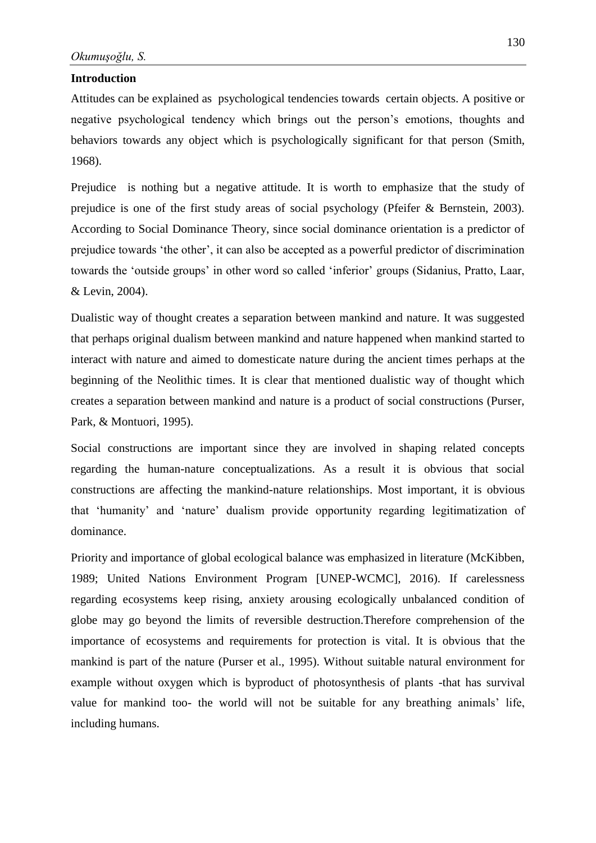#### **Introduction**

Attitudes can be explained as psychological tendencies towards certain objects. A positive or negative psychological tendency which brings out the person's emotions, thoughts and behaviors towards any object which is psychologically significant for that person (Smith, 1968).

Prejudice is nothing but a negative attitude. It is worth to emphasize that the study of prejudice is one of the first study areas of social psychology (Pfeifer & Bernstein, 2003). According to Social Dominance Theory, since social dominance orientation is a predictor of prejudice towards 'the other', it can also be accepted as a powerful predictor of discrimination towards the 'outside groups' in other word so called 'inferior' groups (Sidanius, Pratto, Laar, & Levin, 2004).

Dualistic way of thought creates a separation between mankind and nature. It was suggested that perhaps original dualism between mankind and nature happened when mankind started to interact with nature and aimed to domesticate nature during the ancient times perhaps at the beginning of the Neolithic times. It is clear that mentioned dualistic way of thought which creates a separation between mankind and nature is a product of social constructions (Purser, Park, & Montuori, 1995).

Social constructions are important since they are involved in shaping related concepts regarding the human-nature conceptualizations. As a result it is obvious that social constructions are affecting the mankind-nature relationships. Most important, it is obvious that 'humanity' and 'nature' dualism provide opportunity regarding legitimatization of dominance.

Priority and importance of global ecological balance was emphasized in literature (McKibben, 1989; United Nations Environment Program [UNEP-WCMC], 2016). If carelessness regarding ecosystems keep rising, anxiety arousing ecologically unbalanced condition of globe may go beyond the limits of reversible destruction.Therefore comprehension of the importance of ecosystems and requirements for protection is vital. It is obvious that the mankind is part of the nature (Purser et al., 1995). Without suitable natural environment for example without oxygen which is byproduct of photosynthesis of plants -that has survival value for mankind too- the world will not be suitable for any breathing animals' life, including humans.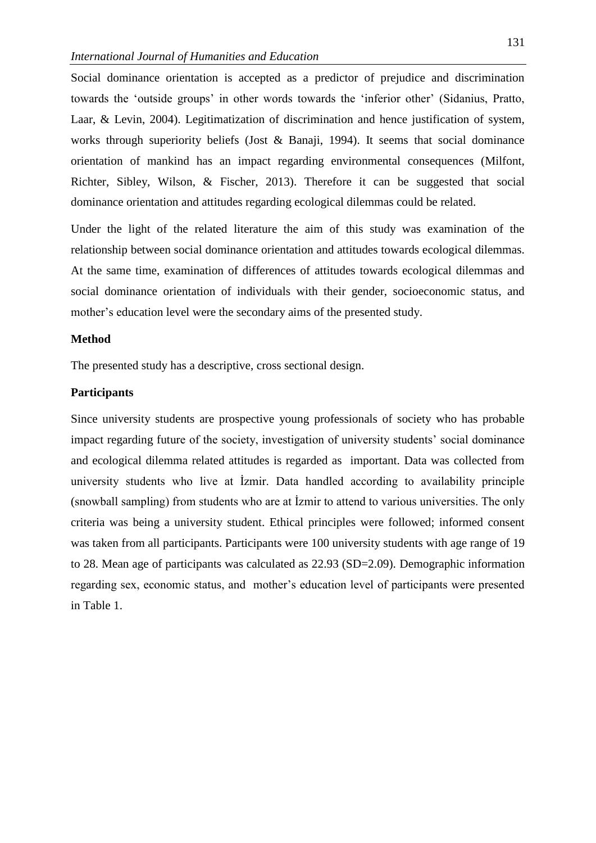Social dominance orientation is accepted as a predictor of prejudice and discrimination towards the 'outside groups' in other words towards the 'inferior other' (Sidanius, Pratto, Laar, & Levin, 2004). Legitimatization of discrimination and hence justification of system, works through superiority beliefs (Jost & Banaji, 1994). It seems that social dominance orientation of mankind has an impact regarding environmental consequences (Milfont, Richter, Sibley, Wilson, & Fischer, 2013). Therefore it can be suggested that social dominance orientation and attitudes regarding ecological dilemmas could be related.

Under the light of the related literature the aim of this study was examination of the relationship between social dominance orientation and attitudes towards ecological dilemmas. At the same time, examination of differences of attitudes towards ecological dilemmas and social dominance orientation of individuals with their gender, socioeconomic status, and mother's education level were the secondary aims of the presented study.

## **Method**

The presented study has a descriptive, cross sectional design.

## **Participants**

Since university students are prospective young professionals of society who has probable impact regarding future of the society, investigation of university students' social dominance and ecological dilemma related attitudes is regarded as important. Data was collected from university students who live at İzmir. Data handled according to availability principle (snowball sampling) from students who are at İzmir to attend to various universities. The only criteria was being a university student. Ethical principles were followed; informed consent was taken from all participants. Participants were 100 university students with age range of 19 to 28. Mean age of participants was calculated as 22.93 (SD=2.09). Demographic information regarding sex, economic status, and mother's education level of participants were presented in Table 1.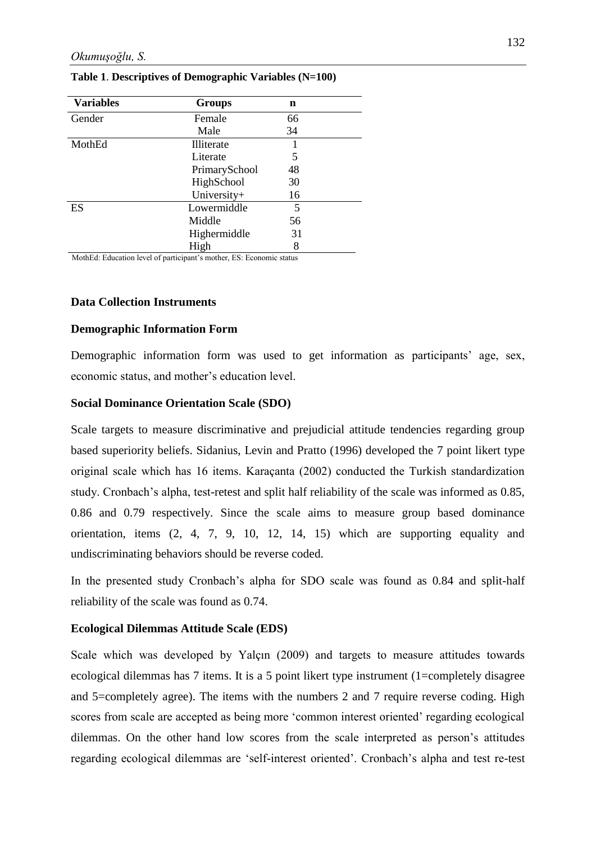| <b>Variables</b> | <b>Groups</b>     | n  |  |
|------------------|-------------------|----|--|
| Gender           | Female            | 66 |  |
|                  | Male              | 34 |  |
| MothEd           | <b>Illiterate</b> |    |  |
|                  | Literate          | 5  |  |
|                  | PrimarySchool     | 48 |  |
|                  | HighSchool        | 30 |  |
|                  | University+       | 16 |  |
| ES               | Lowermiddle       | 5  |  |
|                  | Middle            | 56 |  |
|                  | Highermiddle      | 31 |  |
|                  | High              | 8  |  |

### **Table 1**. **Descriptives of Demographic Variables (N=100)**

MothEd: Education level of participant's mother, ES: Economic status

## **Data Collection Instruments**

### **Demographic Information Form**

Demographic information form was used to get information as participants' age, sex, economic status, and mother's education level.

## **Social Dominance Orientation Scale (SDO)**

Scale targets to measure discriminative and prejudicial attitude tendencies regarding group based superiority beliefs. Sidanius, Levin and Pratto (1996) developed the 7 point likert type original scale which has 16 items. Karaçanta (2002) conducted the Turkish standardization study. Cronbach's alpha, test-retest and split half reliability of the scale was informed as 0.85, 0.86 and 0.79 respectively. Since the scale aims to measure group based dominance orientation, items (2, 4, 7, 9, 10, 12, 14, 15) which are supporting equality and undiscriminating behaviors should be reverse coded.

In the presented study Cronbach's alpha for SDO scale was found as 0.84 and split-half reliability of the scale was found as 0.74.

## **Ecological Dilemmas Attitude Scale (EDS)**

Scale which was developed by Yalçın (2009) and targets to measure attitudes towards ecological dilemmas has 7 items. It is a 5 point likert type instrument (1=completely disagree and 5=completely agree). The items with the numbers 2 and 7 require reverse coding. High scores from scale are accepted as being more 'common interest oriented' regarding ecological dilemmas. On the other hand low scores from the scale interpreted as person's attitudes regarding ecological dilemmas are 'self-interest oriented'. Cronbach's alpha and test re-test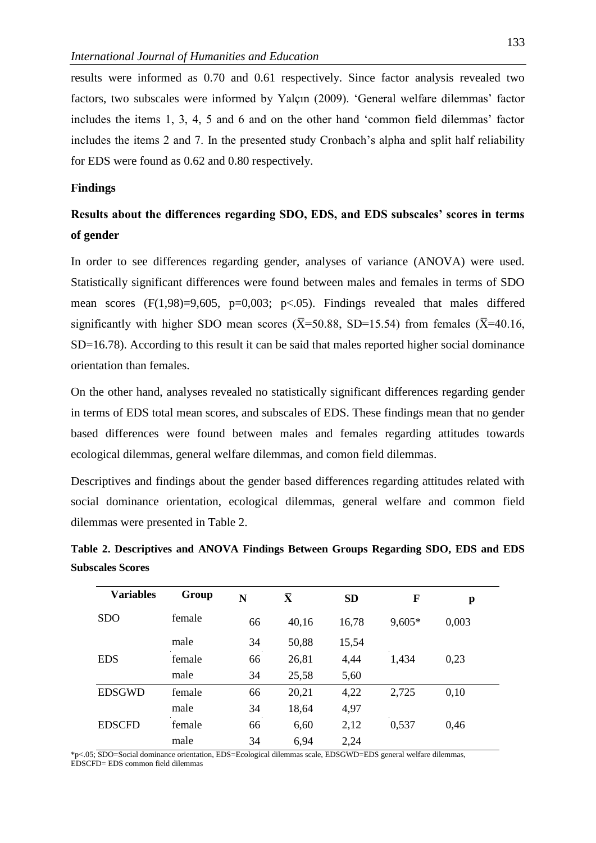results were informed as 0.70 and 0.61 respectively. Since factor analysis revealed two factors, two subscales were informed by Yalçın (2009). 'General welfare dilemmas' factor includes the items 1, 3, 4, 5 and 6 and on the other hand 'common field dilemmas' factor includes the items 2 and 7. In the presented study Cronbach's alpha and split half reliability for EDS were found as 0.62 and 0.80 respectively.

#### **Findings**

# **Results about the differences regarding SDO, EDS, and EDS subscales' scores in terms of gender**

In order to see differences regarding gender, analyses of variance (ANOVA) were used. Statistically significant differences were found between males and females in terms of SDO mean scores  $(F(1,98)=9,605, p=0,003; p<0.05)$ . Findings revealed that males differed significantly with higher SDO mean scores ( $\overline{X}$ =50.88, SD=15.54) from females ( $\overline{X}$ =40.16, SD=16.78). According to this result it can be said that males reported higher social dominance orientation than females.

On the other hand, analyses revealed no statistically significant differences regarding gender in terms of EDS total mean scores, and subscales of EDS. These findings mean that no gender based differences were found between males and females regarding attitudes towards ecological dilemmas, general welfare dilemmas, and comon field dilemmas.

Descriptives and findings about the gender based differences regarding attitudes related with social dominance orientation, ecological dilemmas, general welfare and common field dilemmas were presented in Table 2.

# **Table 2. Descriptives and ANOVA Findings Between Groups Regarding SDO, EDS and EDS Subscales Scores**

| <b>Variables</b> | Group  | N  | $\boldsymbol{\bar{\textbf{X}}}$ | <b>SD</b> | F      | p     |
|------------------|--------|----|---------------------------------|-----------|--------|-------|
| <b>SDO</b>       | female | 66 | 40,16                           | 16,78     | 9,605* | 0,003 |
|                  | male   | 34 | 50,88                           | 15,54     |        |       |
| <b>EDS</b>       | female | 66 | 26,81                           | 4,44      | 1,434  | 0,23  |
|                  | male   | 34 | 25,58                           | 5,60      |        |       |
| <b>EDSGWD</b>    | female | 66 | 20,21                           | 4,22      | 2,725  | 0,10  |
|                  | male   | 34 | 18,64                           | 4,97      |        |       |
| <b>EDSCFD</b>    | female | 66 | 6,60                            | 2,12      | 0,537  | 0,46  |
|                  | male   | 34 | 6,94                            | 2,24      |        |       |

\*p<.05; SDO=Social dominance orientation, EDS=Ecological dilemmas scale, EDSGWD=EDS general welfare dilemmas, EDSCFD= EDS common field dilemmas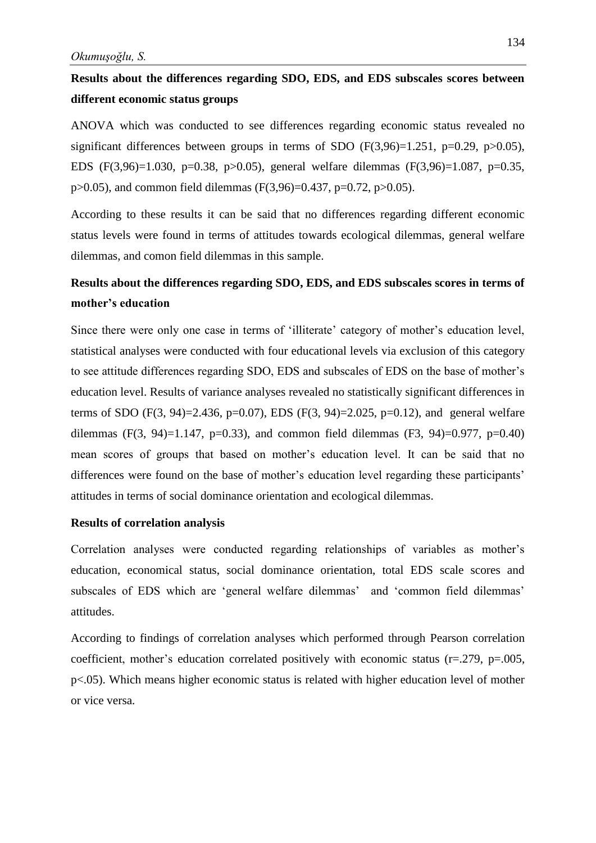# **Results about the differences regarding SDO, EDS, and EDS subscales scores between different economic status groups**

ANOVA which was conducted to see differences regarding economic status revealed no significant differences between groups in terms of SDO  $(F(3,96)=1.251, p=0.29, p>0.05)$ , EDS (F(3,96)=1.030, p=0.38, p>0.05), general welfare dilemmas (F(3,96)=1.087, p=0.35,  $p>0.05$ ), and common field dilemmas (F(3,96)=0.437, p=0.72, p $>0.05$ ).

According to these results it can be said that no differences regarding different economic status levels were found in terms of attitudes towards ecological dilemmas, general welfare dilemmas, and comon field dilemmas in this sample.

# **Results about the differences regarding SDO, EDS, and EDS subscales scores in terms of mother's education**

Since there were only one case in terms of 'illiterate' category of mother's education level, statistical analyses were conducted with four educational levels via exclusion of this category to see attitude differences regarding SDO, EDS and subscales of EDS on the base of mother's education level. Results of variance analyses revealed no statistically significant differences in terms of SDO (F(3, 94)=2.436, p=0.07), EDS (F(3, 94)=2.025, p=0.12), and general welfare dilemmas (F(3, 94)=1.147, p=0.33), and common field dilemmas (F3, 94)=0.977, p=0.40) mean scores of groups that based on mother's education level. It can be said that no differences were found on the base of mother's education level regarding these participants' attitudes in terms of social dominance orientation and ecological dilemmas.

#### **Results of correlation analysis**

Correlation analyses were conducted regarding relationships of variables as mother's education, economical status, social dominance orientation, total EDS scale scores and subscales of EDS which are 'general welfare dilemmas' and 'common field dilemmas' attitudes.

According to findings of correlation analyses which performed through Pearson correlation coefficient, mother's education correlated positively with economic status (r=.279, p=.005, p<.05). Which means higher economic status is related with higher education level of mother or vice versa.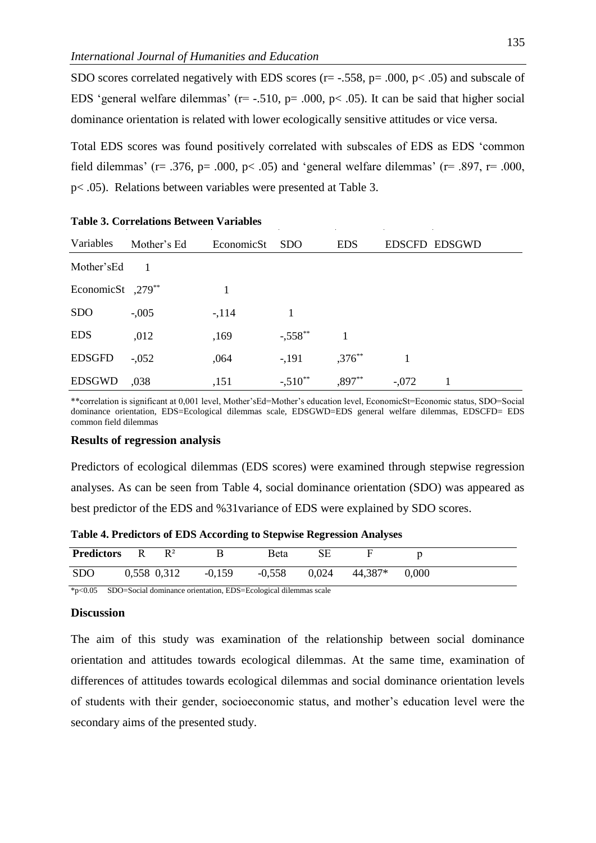SDO scores correlated negatively with EDS scores ( $r = -0.558$ ,  $p = 0.00$ ,  $p < 0.05$ ) and subscale of EDS 'general welfare dilemmas' ( $r=$  -.510,  $p=$  .000,  $p<$  .05). It can be said that higher social dominance orientation is related with lower ecologically sensitive attitudes or vice versa.

Total EDS scores was found positively correlated with subscales of EDS as EDS 'common field dilemmas' (r= .376, p= .000, p< .05) and 'general welfare dilemmas' (r= .897, r= .000, p< .05). Relations between variables were presented at Table 3.

| Variables              | Mother's Ed | EconomicSt | <b>SDO</b>  | <b>EDS</b>  |         | EDSCFD EDSGWD |
|------------------------|-------------|------------|-------------|-------------|---------|---------------|
| Mother's Ed            |             |            |             |             |         |               |
| EconomicSt $,279^{**}$ |             | 1          |             |             |         |               |
| <b>SDO</b>             | $-.005$     | $-114$     |             |             |         |               |
| <b>EDS</b>             | ,012        | ,169       | $-0.558$ ** |             |         |               |
| <b>EDSGFD</b>          | $-.052$     | ,064       | $-191$      | $,376^{**}$ |         |               |
| <b>EDSGWD</b>          | ,038        | ,151       | $-.510**$   | $,897***$   | $-.072$ |               |

|  | <b>Table 3. Correlations Between Variables</b> |  |  |
|--|------------------------------------------------|--|--|
|--|------------------------------------------------|--|--|

\*\*correlation is significant at 0,001 level, Mother'sEd=Mother's education level, EconomicSt=Economic status, SDO=Social dominance orientation, EDS=Ecological dilemmas scale, EDSGWD=EDS general welfare dilemmas, EDSCFD= EDS common field dilemmas

#### **Results of regression analysis**

Predictors of ecological dilemmas (EDS scores) were examined through stepwise regression analyses. As can be seen from Table 4, social dominance orientation (SDO) was appeared as best predictor of the EDS and %31variance of EDS were explained by SDO scores.

| Table 4. Predictors of EDS According to Stepwise Regression Analyses |  |  |
|----------------------------------------------------------------------|--|--|
|----------------------------------------------------------------------|--|--|

| <b>Predictors</b> | R | $R^2$       |          | <b>B</b> eta   |           |       |
|-------------------|---|-------------|----------|----------------|-----------|-------|
| <b>SDO</b>        |   | 0,558 0,312 | $-0,159$ | $-0,558$ 0.024 | $44,387*$ | 0.000 |

\*p<0.05 SDO=Social dominance orientation, EDS=Ecological dilemmas scale

#### **Discussion**

The aim of this study was examination of the relationship between social dominance orientation and attitudes towards ecological dilemmas. At the same time, examination of differences of attitudes towards ecological dilemmas and social dominance orientation levels of students with their gender, socioeconomic status, and mother's education level were the secondary aims of the presented study.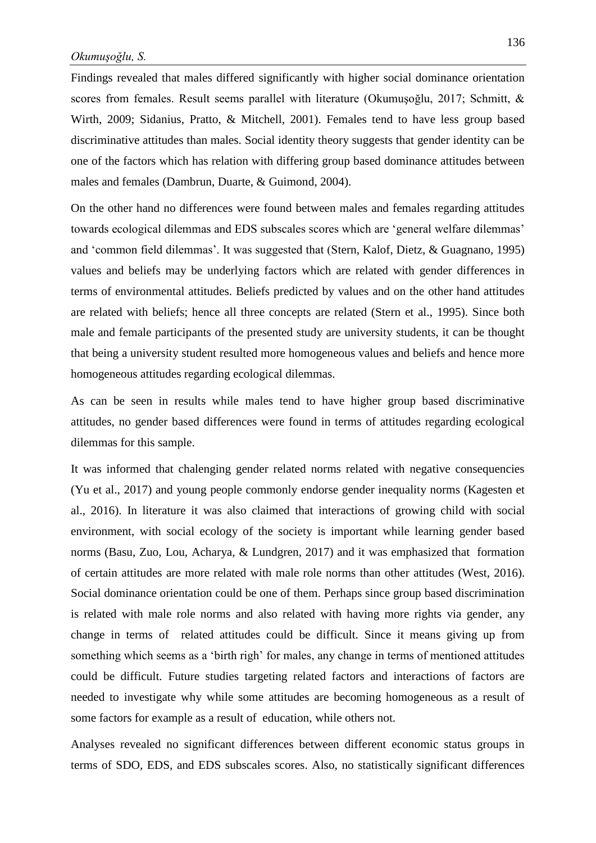Findings revealed that males differed significantly with higher social dominance orientation scores from females. Result seems parallel with literature (Okumuşoğlu, 2017; Schmitt, & Wirth, 2009; Sidanius, Pratto, & Mitchell, 2001). Females tend to have less group based discriminative attitudes than males. Social identity theory suggests that gender identity can be one of the factors which has relation with differing group based dominance attitudes between males and females (Dambrun, Duarte, & Guimond, 2004).

On the other hand no differences were found between males and females regarding attitudes towards ecological dilemmas and EDS subscales scores which are 'general welfare dilemmas' and 'common field dilemmas'. It was suggested that (Stern, Kalof, Dietz, & Guagnano, 1995) values and beliefs may be underlying factors which are related with gender differences in terms of environmental attitudes. Beliefs predicted by values and on the other hand attitudes are related with beliefs; hence all three concepts are related (Stern et al., 1995). Since both male and female participants of the presented study are university students, it can be thought that being a university student resulted more homogeneous values and beliefs and hence more homogeneous attitudes regarding ecological dilemmas.

As can be seen in results while males tend to have higher group based discriminative attitudes, no gender based differences were found in terms of attitudes regarding ecological dilemmas for this sample.

It was informed that chalenging gender related norms related with negative consequencies (Yu et al., 2017) and young people commonly endorse gender inequality norms (Kagesten et al., 2016). In literature it was also claimed that interactions of growing child with social environment, with social ecology of the society is important while learning gender based norms (Basu, Zuo, Lou, Acharya, & Lundgren, 2017) and it was emphasized that formation of certain attitudes are more related with male role norms than other attitudes (West, 2016). Social dominance orientation could be one of them. Perhaps since group based discrimination is related with male role norms and also related with having more rights via gender, any change in terms of related attitudes could be difficult. Since it means giving up from something which seems as a 'birth righ' for males, any change in terms of mentioned attitudes could be difficult. Future studies targeting related factors and interactions of factors are needed to investigate why while some attitudes are becoming homogeneous as a result of some factors for example as a result of education, while others not.

Analyses revealed no significant differences between different economic status groups in terms of SDO, EDS, and EDS subscales scores. Also, no statistically significant differences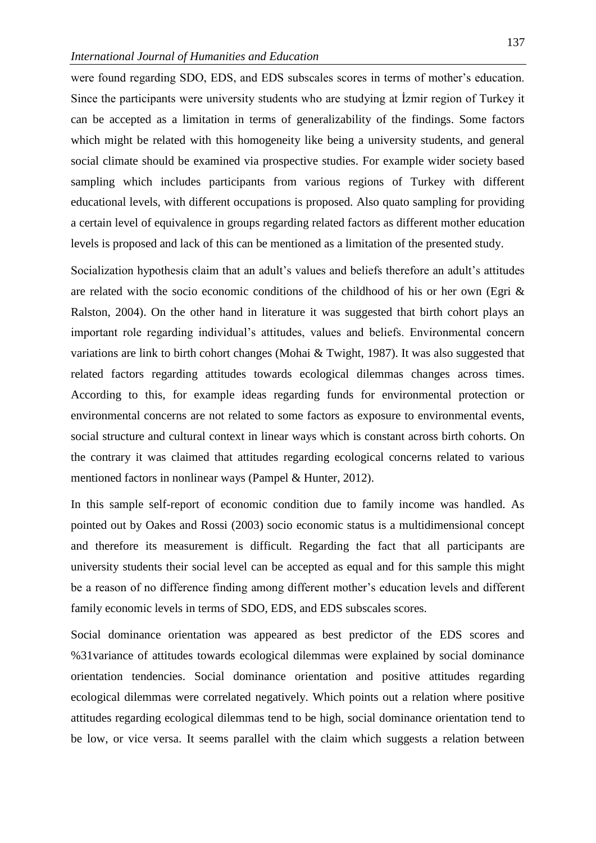were found regarding SDO, EDS, and EDS subscales scores in terms of mother's education. Since the participants were university students who are studying at İzmir region of Turkey it can be accepted as a limitation in terms of generalizability of the findings. Some factors which might be related with this homogeneity like being a university students, and general social climate should be examined via prospective studies. For example wider society based sampling which includes participants from various regions of Turkey with different educational levels, with different occupations is proposed. Also quato sampling for providing a certain level of equivalence in groups regarding related factors as different mother education levels is proposed and lack of this can be mentioned as a limitation of the presented study.

Socialization hypothesis claim that an adult's values and beliefs therefore an adult's attitudes are related with the socio economic conditions of the childhood of his or her own (Egri & Ralston, 2004). On the other hand in literature it was suggested that birth cohort plays an important role regarding individual's attitudes, values and beliefs. Environmental concern variations are link to birth cohort changes (Mohai & Twight, 1987). It was also suggested that related factors regarding attitudes towards ecological dilemmas changes across times. According to this, for example ideas regarding funds for environmental protection or environmental concerns are not related to some factors as exposure to environmental events, social structure and cultural context in linear ways which is constant across birth cohorts. On the contrary it was claimed that attitudes regarding ecological concerns related to various mentioned factors in nonlinear ways (Pampel & Hunter, 2012).

In this sample self-report of economic condition due to family income was handled. As pointed out by Oakes and Rossi (2003) socio economic status is a multidimensional concept and therefore its measurement is difficult. Regarding the fact that all participants are university students their social level can be accepted as equal and for this sample this might be a reason of no difference finding among different mother's education levels and different family economic levels in terms of SDO, EDS, and EDS subscales scores.

Social dominance orientation was appeared as best predictor of the EDS scores and %31variance of attitudes towards ecological dilemmas were explained by social dominance orientation tendencies. Social dominance orientation and positive attitudes regarding ecological dilemmas were correlated negatively. Which points out a relation where positive attitudes regarding ecological dilemmas tend to be high, social dominance orientation tend to be low, or vice versa. It seems parallel with the claim which suggests a relation between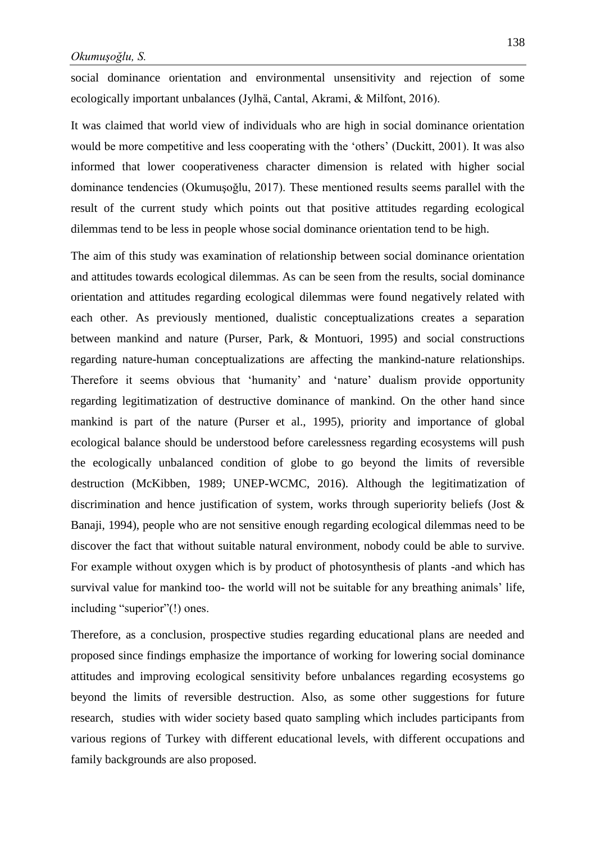social dominance orientation and environmental unsensitivity and rejection of some ecologically important unbalances (Jylhä, Cantal, Akrami, & Milfont, 2016).

It was claimed that world view of individuals who are high in social dominance orientation would be more competitive and less cooperating with the 'others' (Duckitt, 2001). It was also informed that lower cooperativeness character dimension is related with higher social dominance tendencies (Okumuşoğlu, 2017). These mentioned results seems parallel with the result of the current study which points out that positive attitudes regarding ecological dilemmas tend to be less in people whose social dominance orientation tend to be high.

The aim of this study was examination of relationship between social dominance orientation and attitudes towards ecological dilemmas. As can be seen from the results, social dominance orientation and attitudes regarding ecological dilemmas were found negatively related with each other. As previously mentioned, dualistic conceptualizations creates a separation between mankind and nature (Purser, Park, & Montuori, 1995) and social constructions regarding nature-human conceptualizations are affecting the mankind-nature relationships. Therefore it seems obvious that 'humanity' and 'nature' dualism provide opportunity regarding legitimatization of destructive dominance of mankind. On the other hand since mankind is part of the nature (Purser et al., 1995), priority and importance of global ecological balance should be understood before carelessness regarding ecosystems will push the ecologically unbalanced condition of globe to go beyond the limits of reversible destruction (McKibben, 1989; UNEP-WCMC, 2016). Although the legitimatization of discrimination and hence justification of system, works through superiority beliefs (Jost & Banaji, 1994), people who are not sensitive enough regarding ecological dilemmas need to be discover the fact that without suitable natural environment, nobody could be able to survive. For example without oxygen which is by product of photosynthesis of plants -and which has survival value for mankind too- the world will not be suitable for any breathing animals' life, including "superior"(!) ones.

Therefore, as a conclusion, prospective studies regarding educational plans are needed and proposed since findings emphasize the importance of working for lowering social dominance attitudes and improving ecological sensitivity before unbalances regarding ecosystems go beyond the limits of reversible destruction. Also, as some other suggestions for future research, studies with wider society based quato sampling which includes participants from various regions of Turkey with different educational levels, with different occupations and family backgrounds are also proposed.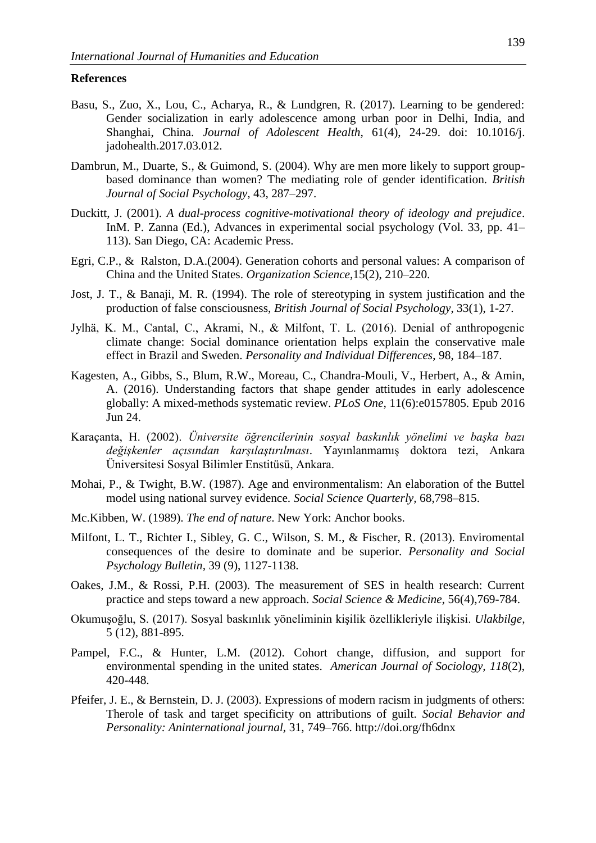#### **References**

- Basu, S., Zuo, X., Lou, C., Acharya, R., & Lundgren, R. (2017). Learning to be gendered: Gender socialization in early adolescence among urban poor in Delhi, India, and Shanghai, China. *Journal of Adolescent Health*, 61(4), 24-29. doi: 10.1016/j. jadohealth.2017.03.012.
- Dambrun, M., Duarte, S., & Guimond, S. (2004). Why are men more likely to support groupbased dominance than women? The mediating role of gender identification. *British Journal of Social Psychology,* 43, 287–297.
- Duckitt, J. (2001). *A dual-process cognitive-motivational theory of ideology and prejudice*. InM. P. Zanna (Ed.), Advances in experimental social psychology (Vol. 33, pp. 41– 113). San Diego, CA: Academic Press.
- Egri, C.P., & Ralston, D.A.(2004). Generation cohorts and personal values: A comparison of China and the United States. *Organization Science*,15(2), 210–220.
- Jost, J. T., & Banaji, M. R. (1994). The role of stereotyping in system justification and the production of false consciousness, *British Journal of Social Psychology*, 33(1), 1-27.
- Jylhä, K. M., Cantal, C., Akrami, N., & Milfont, T. L. (2016). Denial of anthropogenic climate change: Social dominance orientation helps explain the conservative male effect in Brazil and Sweden. *Personality and Individual Differences*, 98, 184–187.
- Kagesten, A., Gibbs, S., Blum, R.W., Moreau, C., Chandra-Mouli, V., Herbert, A., & Amin, A. (2016). Understanding factors that shape gender attitudes in early adolescence globally: A mixed-methods systematic review. *PLoS One*, 11(6):e0157805. Epub 2016 Jun 24.
- Karaçanta, H. (2002). *Üniversite öğrencilerinin sosyal baskınlık yönelimi ve başka bazı değişkenler açısından karşılaştırılması*. Yayınlanmamış doktora tezi, Ankara Üniversitesi Sosyal Bilimler Enstitüsü, Ankara.
- Mohai, P., & Twight, B.W. (1987). Age and environmentalism: An elaboration of the Buttel model using national survey evidence. *Social Science Quarterly,* 68,798–815.
- Mc.Kibben, W. (1989). *The end of nature*. New York: Anchor books.
- Milfont, L. T., Richter I., Sibley, G. C., Wilson, S. M., & Fischer, R. (2013). Enviromental consequences of the desire to dominate and be superior. *Personality and Social Psychology Bulletin,* 39 (9), 1127-1138.
- Oakes, J.M., & Rossi, P.H. (2003). The measurement of SES in health research: Current practice and steps toward a new approach. *Social Science & Medicine*, 56(4),769-784.
- Okumuşoğlu, S. (2017). Sosyal baskınlık yöneliminin kişilik özellikleriyle ilişkisi. *Ulakbilge,* 5 (12), 881-895.
- Pampel, F.C., & Hunter, L.M. (2012). Cohort change, diffusion, and support for environmental spending in the united states. *American Journal of Sociology, 118*(2), 420-448.
- Pfeifer, J. E., & Bernstein, D. J. (2003). Expressions of modern racism in judgments of others: Therole of task and target specificity on attributions of guilt. *Social Behavior and Personality: Aninternational journal,* 31, 749–766. http://doi.org/fh6dnx